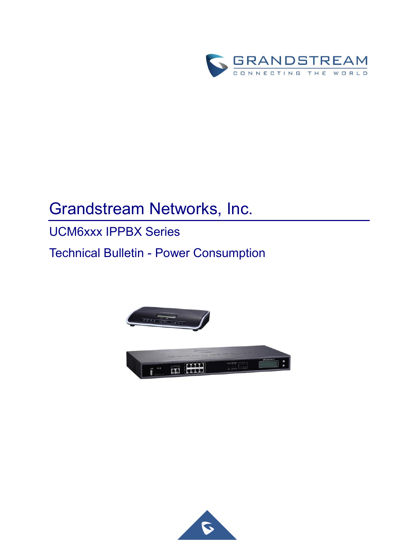

# Grandstream Networks, Inc.

## UCM6xxx IPPBX Series

Technical Bulletin - Power Consumption



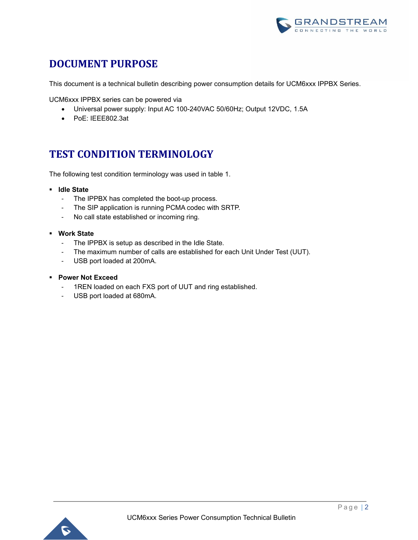

#### **DOCUMENT PURPOSE**

This document is a technical bulletin describing power consumption details for UCM6xxx IPPBX Series.

UCM6xxx IPPBX series can be powered via

- Universal power supply: Input AC 100-240VAC 50/60Hz; Output 12VDC, 1.5A
- PoE: IEEE802.3at

#### **TEST CONDITION TERMINOLOGY**

The following test condition terminology was used in table 1.

- **Idle State**
	- The IPPBX has completed the boot-up process.
	- The SIP application is running PCMA codec with SRTP.
	- No call state established or incoming ring.
- **Work State**
	- The IPPBX is setup as described in the Idle State.
	- The maximum number of calls are established for each Unit Under Test (UUT).
	- USB port loaded at 200mA.
- **Power Not Exceed**
	- 1REN loaded on each FXS port of UUT and ring established.
	- USB port loaded at 680mA.